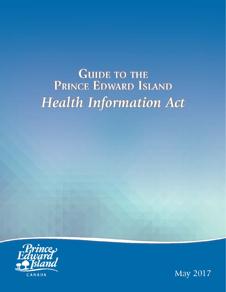# **GUIDE TO THE** PRINCE EDWARD ISLAND Health Information Act



**May 2017**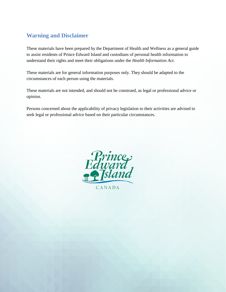# **Warning and Disclaimer**

These materials have been prepared by the Department of Health and Wellness as a general guide to assist residents of Prince Edward Island and custodians of personal health information to understand their rights and meet their obligations under the *Health Information Act*.

These materials are for general information purposes only. They should be adapted to the circumstances of each person using the materials.

These materials are not intended, and should not be construed, as legal or professional advice or opinion.

Persons concerned about the applicability of privacy legislation to their activities are advised to seek legal or professional advice based on their particular circumstances.



CANADA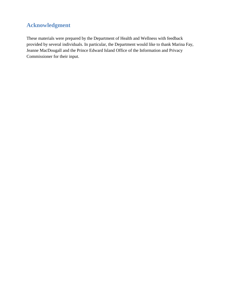# **Acknowledgment**

These materials were prepared by the Department of Health and Wellness with feedback provided by several individuals. In particular, the Department would like to thank Marina Fay, Jeanne MacDougall and the Prince Edward Island Office of the Information and Privacy Commissioner for their input.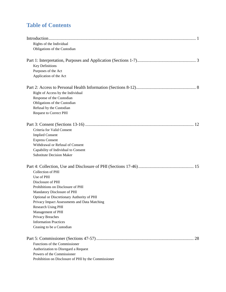# **Table of Contents**

| Rights of the Individual                             |
|------------------------------------------------------|
| Obligations of the Custodian                         |
|                                                      |
| Key Definitions                                      |
| Purposes of the Act                                  |
| Application of the Act                               |
|                                                      |
| Right of Access by the Individual                    |
| Response of the Custodian                            |
| Obligations of the Custodian                         |
| Refusal by the Custodian                             |
| <b>Request to Correct PHI</b>                        |
|                                                      |
| Criteria for Valid Consent                           |
| <b>Implied Consent</b>                               |
| <b>Express Consent</b>                               |
| Withdrawal or Refusal of Consent                     |
| Capability of Individual to Consent                  |
| <b>Substitute Decision Maker</b>                     |
|                                                      |
| Collection of PHI                                    |
| Use of PHI                                           |
| Disclosure of PHI                                    |
| Prohibitions on Disclosure of PHI                    |
| Mandatory Disclosure of PHI                          |
| Optional or Discretionary Authority of PHI           |
| Privacy Impact Assessments and Data Matching         |
| <b>Research Using PHI</b>                            |
| Management of PHI                                    |
| Privacy Breaches                                     |
| <b>Information Practices</b>                         |
| Ceasing to be a Custodian                            |
| 28                                                   |
| Functions of the Commissioner                        |
| Authorization to Disregard a Request                 |
| Powers of the Commissioner                           |
| Prohibition on Disclosure of PHI by the Commissioner |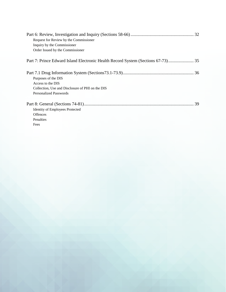| Request for Review by the Commissioner           |
|--------------------------------------------------|
| Inquiry by the Commissioner                      |
| Order Issued by the Commissioner                 |
|                                                  |
|                                                  |
| Purposes of the DIS                              |
| Access to the DIS                                |
| Collection, Use and Disclosure of PHI on the DIS |
| <b>Personalized Passwords</b>                    |
| 39                                               |
| <b>Identity of Employees Protected</b>           |
| <b>Offences</b>                                  |
| Penalties                                        |
| Fees                                             |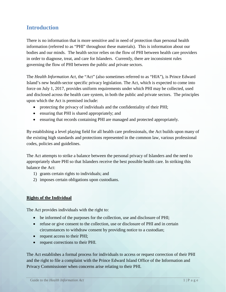# <span id="page-6-0"></span>**Introduction**

There is no information that is more sensitive and in need of protection than personal health information (referred to as "PHI" throughout these materials). This is information about our bodies and our minds. The health sector relies on the flow of PHI between health care providers in order to diagnose, treat, and care for Islanders. Currently, there are inconsistent rules governing the flow of PHI between the public and private sectors.

The *Health Information Act*, the "Act" (also sometimes referred to as "HIA"), is Prince Edward Island's new health-sector specific privacy legislation. The Act, which is expected to come into force on July 1, 2017, provides uniform requirements under which PHI may be collected, used and disclosed across the health care system, in both the public and private sectors. The principles upon which the Act is premised include:

- protecting the privacy of individuals and the confidentiality of their PHI;
- ensuring that PHI is shared appropriately; and
- ensuring that records containing PHI are managed and protected appropriately.

By establishing a level playing field for all health care professionals, the Act builds upon many of the existing high standards and protections represented in the common law, various professional codes, policies and guidelines.

The Act attempts to strike a balance between the personal privacy of Islanders and the need to appropriately share PHI so that Islanders receive the best possible health care. In striking this balance the Act:

- 1) grants certain rights to individuals; and
- 2) imposes certain obligations upon custodians.

#### <span id="page-6-1"></span>**Rights of the Individual**

The Act provides individuals with the right to:

- be informed of the purposes for the collection, use and disclosure of PHI;
- refuse or give consent to the collection, use or disclosure of PHI and in certain circumstances to withdraw consent by providing notice to a custodian;
- request access to their PHI;
- request corrections to their PHI.

The Act establishes a formal process for individuals to access or request correction of their PHI and the right to file a complaint with the Prince Edward Island Office of the Information and Privacy Commissioner when concerns arise relating to their PHI.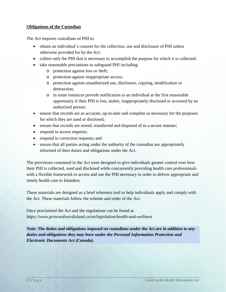#### <span id="page-7-0"></span>**Obligations of the Custodian**

The Act requires custodians of PHI to:

- obtain an individual's consent for the collection, use and disclosure of PHI unless otherwise provided for by the Act;
- collect only the PHI that is necessary to accomplish the purpose for which it is collected;
- take reasonable precautions to safeguard PHI including:
	- o protection against loss or theft;
	- o protection against inappropriate access;
	- o protection against unauthorized use, disclosure, copying, modification or destruction;
	- o in some instances provide notification to an individual at the first reasonable opportunity if their PHI is lost, stolen, inappropriately disclosed or accessed by an authorized person;
- ensure that records are as accurate, up-to-date and complete as necessary for the purposes for which they are used or disclosed;
- ensure that records are stored, transferred and disposed of in a secure manner;
- respond to access requests;
- respond to correction requests; and
- ensure that all parties acting under the authority of the custodian are appropriately informed of their duties and obligations under the Act.

The provisions contained in the Act were designed to give individuals greater control over how their PHI is collected, used and disclosed while concurrently providing health care professionals with a flexible framework to access and use the PHI necessary in order to deliver appropriate and timely health care to Islanders.

These materials are designed as a brief reference tool to help individuals apply and comply with the Act. These materials follow the scheme and order of the Act.

Once proclaimed the Act and the regulations can be found at *https://www.princeedwardisland.ca/en/legislation/health-and-wellness*

*Note: The duties and obligations imposed on custodians under the Act are in addition to any duties and obligations they may have under the Personal Information Protection and Electronic Documents Act (Canada).*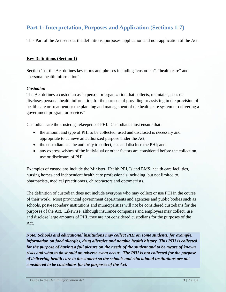# <span id="page-8-0"></span>**Part 1: Interpretation, Purposes and Application (Sections 1-7)**

This Part of the Act sets out the definitions, purposes, application and non-application of the Act.

#### <span id="page-8-1"></span>**Key Definitions (Section 1)**

Section 1 of the Act defines key terms and phrases including "custodian", "health care" and "personal health information".

#### *Custodian*

The Act defines a custodian as "a person or organization that collects, maintains, uses or discloses personal health information for the purpose of providing or assisting in the provision of health care or treatment or the planning and management of the health care system or delivering a government program or service."

Custodians are the trusted gatekeepers of PHI. Custodians must ensure that:

- the amount and type of PHI to be collected, used and disclosed is necessary and appropriate to achieve an authorized purpose under the Act;
- the custodian has the authority to collect, use and disclose the PHI; and
- any express wishes of the individual or other factors are considered before the collection, use or disclosure of PHI.

Examples of custodians include the Minister, Health PEI, Island EMS, health care facilities, nursing homes and independent health care professionals including, but not limited to, pharmacists, medical practitioners, chiropractors and optometrists.

The definition of custodian does not include everyone who may collect or use PHI in the course of their work. Most provincial government departments and agencies and public bodies such as schools, post-secondary institutions and municipalities will not be considered custodians for the purposes of the Act. Likewise, although insurance companies and employers may collect, use and disclose large amounts of PHI, they are not considered custodians for the purposes of the Act.

*Note: Schools and educational institutions may collect PHI on some students, for example, information on food allergies, drug allergies and notable health history. This PHI is collected for the purpose of having a full picture on the needs of the student and to be aware of known risks and what to do should an adverse event occur. The PHI is not collected for the purpose of delivering health care to the student so the schools and educational institutions are not considered to be custodians for the purposes of the Act.*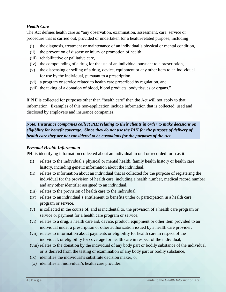## *Health Care*

The Act defines health care as "any observation, examination, assessment, care, service or procedure that is carried out, provided or undertaken for a health-related purpose, including

- (i) the diagnosis, treatment or maintenance of an individual's physical or mental condition,
- (ii) the prevention of disease or injury or promotion of health,
- (iii) rehabilitative or palliative care,
- (iv) the compounding of a drug for the use of an individual pursuant to a prescription,
- (v) the dispensing or selling of a drug, device, equipment or any other item to an individual for use by the individual, pursuant to a prescription,
- (vi) a program or service related to health care prescribed by regulation, and
- (vii) the taking of a donation of blood, blood products, body tissues or organs."

If PHI is collected for purposes other than "health care" then the Act will not apply to that information. Examples of this non-application include information that is collected, used and disclosed by employers and insurance companies.

*Note: Insurance companies collect PHI relating to their clients in order to make decisions on eligibility for benefit coverage. Since they do not use the PHI for the purpose of delivery of health care they are not considered to be custodians for the purposes of the Act.* 

## *Personal Health Information*

PHI is identifying information collected about an individual in oral or recorded form as it:

- (i) relates to the individual's physical or mental health, family health history or health care history, including genetic information about the individual,
- (ii) relates to information about an individual that is collected for the purpose of registering the individual for the provision of health care, including a health number, medical record number and any other identifier assigned to an individual,
- (iii) relates to the provision of health care to the individual,
- (iv) relates to an individual's entitlement to benefits under or participation in a health care program or service,
- (v) is collected in the course of, and is incidental to, the provision of a health care program or service or payment for a health care program or service,
- (vi) relates to a drug, a health care aid, device, product, equipment or other item provided to an individual under a prescription or other authorization issued by a health care provider,
- (vii) relates to information about payments or eligibility for health care in respect of the individual, or eligibility for coverage for health care in respect of the individual,
- (viii) relates to the donation by the individual of any body part or bodily substance of the individual or is derived from the testing or examination of any body part or bodily substance,
- (ix) identifies the individual's substitute decision maker, or
- (x) identifies an individual's health care provider.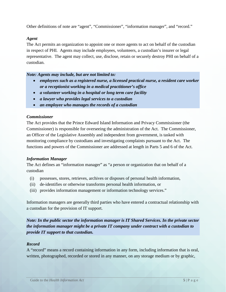Other definitions of note are "agent", "Commissioner", "information manager", and "record."

#### *Agent*

The Act permits an organization to appoint one or more agents to act on behalf of the custodian in respect of PHI. Agents may include employees, volunteers, a custodian's insurer or legal representative. The agent may collect, use, disclose, retain or securely destroy PHI on behalf of a custodian.

#### *Note: Agents may include, but are not limited to:*

- *employees such as a registered nurse, a licensed practical nurse, a resident care worker or a receptionist working in a medical practitioner's office*
- *a volunteer working in a hospital or long term care facility*
- *a lawyer who provides legal services to a custodian*
- *an employee who manages the records of a custodian*

#### *Commissioner*

The Act provides that the Prince Edward Island Information and Privacy Commissioner (the Commissioner) is responsible for overseeing the administration of the Act. The Commissioner, an Officer of the Legislative Assembly and independent from government, is tasked with monitoring compliance by custodians and investigating complaints pursuant to the Act. The functions and powers of the Commissioner are addressed at length in Parts 5 and 6 of the Act.

#### *Information Manager*

The Act defines an "information manager" as "a person or organization that on behalf of a custodian

- (i) possesses, stores, retrieves, archives or disposes of personal health information,
- (ii) de-identifies or otherwise transforms personal health information, or
- (iii) provides information management or information technology services."

Information managers are generally third parties who have entered a contractual relationship with a custodian for the provision of IT support.

*Note: In the public sector the information manager is IT Shared Services. In the private sector the information manager might be a private IT company under contract with a custodian to provide IT support to that custodian.*

#### *Record*

A "record" means a record containing information in any form, including information that is oral, written, photographed, recorded or stored in any manner, on any storage medium or by graphic,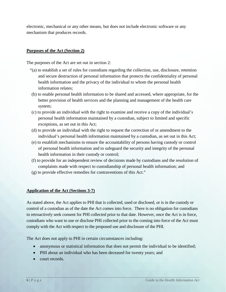electronic, mechanical or any other means, but does not include electronic software or any mechanism that produces records.

#### <span id="page-11-0"></span>**Purposes of the Act (Section 2)**

The purposes of the Act are set out in section 2:

- "(a) to establish a set of rules for custodians regarding the collection, use, disclosure, retention and secure destruction of personal information that protects the confidentiality of personal health information and the privacy of the individual to whom the personal health information relates;
- (b) to enable personal health information to be shared and accessed, where appropriate, for the better provision of health services and the planning and management of the health care system;
- (c) to provide an individual with the right to examine and receive a copy of the individual's personal health information maintained by a custodian, subject to limited and specific exceptions, as set out in this Act;
- (d) to provide an individual with the right to request the correction of or amendment to the individual's personal health information maintained by a custodian, as set out in this Act;
- (e) to establish mechanisms to ensure the accountability of persons having custody or control of personal health information and to safeguard the security and integrity of the personal health information in their custody or control;
- (f) to provide for an independent review of decisions made by custodians and the resolution of complaints made with respect to custodianship of personal health information; and
- (g) to provide effective remedies for contraventions of this Act."

#### <span id="page-11-1"></span>**Application of the Act (Sections 3-7)**

As stated above, the Act applies to PHI that is collected, used or disclosed, or is in the custody or control of a custodian as of the date the Act comes into force. There is no obligation for custodians to retroactively seek consent for PHI collected prior to that date. However, once the Act is in force, custodians who want to use or disclose PHI collected prior to the coming into force of the Act must comply with the Act with respect to the proposed use and disclosure of the PHI.

The Act does not apply to PHI in certain circumstances including:

- anonymous or statistical information that does not permit the individual to be identified;
- PHI about an individual who has been deceased for twenty years; and
- court records.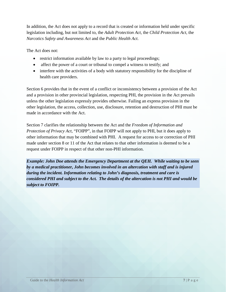In addition, the Act does not apply to a record that is created or information held under specific legislation including, but not limited to, the *Adult Protection Act,* the *Child Protection Act*, the *Narcotics Safety and Awareness Act* and the *Public Health Act*.

The Act does not:

- restrict information available by law to a party to legal proceedings;
- affect the power of a court or tribunal to compel a witness to testify; and
- interfere with the activities of a body with statutory responsibility for the discipline of health care providers.

Section 6 provides that in the event of a conflict or inconsistency between a provision of the Act and a provision in other provincial legislation, respecting PHI, the provision in the Act prevails unless the other legislation expressly provides otherwise. Failing an express provision in the other legislation, the access, collection, use, disclosure, retention and destruction of PHI must be made in accordance with the Act.

Section 7 clarifies the relationship between the Act and the *Freedom of Information and Protection of Privacy Act,* "FOIPP"*,* in that FOIPP will not apply to PHI, but it does apply to other information that may be combined with PHI. A request for access to or correction of PHI made under section 8 or 11 of the Act that relates to that other information is deemed to be a request under FOIPP in respect of that other non-PHI information.

*Example: John Doe attends the Emergency Department at the QEH. While waiting to be seen by a medical practitioner, John becomes involved in an altercation with staff and is injured during the incident. Information relating to John's diagnosis, treatment and care is considered PHI and subject to the Act. The details of the altercation is not PHI and would be subject to FOIPP.*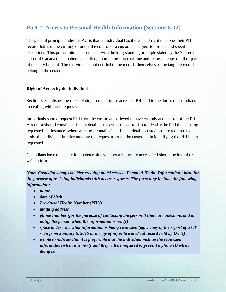# <span id="page-13-0"></span>**Part 2: Access to Personal Health Information (Sections 8-12)**

The general principle under the Act is that an individual has the general right to access their PHI record that is in the custody or under the control of a custodian, subject to limited and specific exceptions. This presumption is consistent with the long-standing principle stated by the Supreme Court of Canada that a patient is entitled, upon request, to examine and request a copy of all or part of their PHI record. The individual is not entitled to the records themselves as the tangible records belong to the custodian.

#### <span id="page-13-1"></span>**Right of Access by the Individual**

Section 8 establishes the rules relating to requests for access to PHI and to the duties of custodians in dealing with such requests.

Individuals should request PHI from the custodian believed to have custody and control of the PHI. A request should contain sufficient detail as to permit the custodian to identify the PHI that is being requested. In instances where a request contains insufficient details, custodians are required to assist the individual in reformulating the request to assist the custodian in identifying the PHI being requested.

Custodians have the discretion to determine whether a request to access PHI should be in oral or written form.

*Note: Custodians may consider creating an "Access to Personal Health Information" form for the purpose of assisting individuals with access requests. The form may include the following information:*

- *name*
- *date of birth*
- *Provincial Health Number (PHN)*
- *mailing address*
- *phone number (for the purpose of contacting the person if there are questions and to notify the person when the information is ready)*
- *space to describe what information is being requested (eg. a copy of the report of a CT scan from January 6, 2016 or a copy of my entire medical record held by Dr. X)*
- *a note to indicate that it is preferable that the individual pick up the requested information when it is ready and they will be required to present a photo ID when doing so*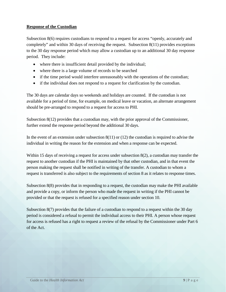## <span id="page-14-0"></span>**Response of the Custodian**

Subsection 8(6) requires custodians to respond to a request for access "openly, accurately and completely" and within 30 days of receiving the request. Subsection 8(11) provides exceptions to the 30 day response period which may allow a custodian up to an additional 30 day response period. They include:

- where there is insufficient detail provided by the individual;
- where there is a large volume of records to be searched
- if the time period would interfere unreasonably with the operations of the custodian;
- if the individual does not respond to a request for clarification by the custodian.

The 30 days are calendar days so weekends and holidays are counted. If the custodian is not available for a period of time, for example, on medical leave or vacation, an alternate arrangement should be pre-arranged to respond to a request for access to PHI.

Subsection 8(12) provides that a custodian may, with the prior approval of the Commissioner, further extend the response period beyond the additional 30 days.

In the event of an extension under subsection  $8(11)$  or  $(12)$  the custodian is required to advise the individual in writing the reason for the extension and when a response can be expected.

Within 15 days of receiving a request for access under subsection 8(2), a custodian may transfer the request to another custodian if the PHI is maintained by that other custodian, and in that event the person making the request shall be notified in writing of the transfer. A custodian to whom a request is transferred is also subject to the requirements of section 8 as it relates to response times.

Subsection 8(8) provides that in responding to a request, the custodian may make the PHI available and provide a copy, or inform the person who made the request in writing if the PHI cannot be provided or that the request is refused for a specified reason under section 10.

Subsection 8(7) provides that the failure of a custodian to respond to a request within the 30 day period is considered a refusal to permit the individual access to their PHI. A person whose request for access is refused has a right to request a review of the refusal by the Commissioner under Part 6 of the Act.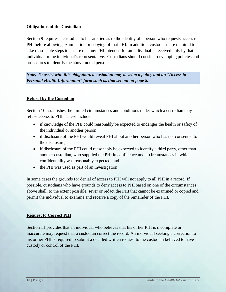## <span id="page-15-0"></span>**Obligations of the Custodian**

Section 9 requires a custodian to be satisfied as to the identity of a person who requests access to PHI before allowing examination or copying of that PHI. In addition, custodians are required to take reasonable steps to ensure that any PHI intended for an individual is received only by that individual or the individual's representative. Custodians should consider developing policies and procedures to identify the above-noted persons.

*Note: To assist with this obligation, a custodian may develop a policy and an "Access to Personal Health Information" form such as that set out on page 8.*

## <span id="page-15-1"></span>**Refusal by the Custodian**

Section 10 establishes the limited circumstances and conditions under which a custodian may refuse access to PHI. These include:

- if knowledge of the PHI could reasonably be expected to endanger the health or safety of the individual or another person;
- if disclosure of the PHI would reveal PHI about another person who has not consented to the disclosure;
- if disclosure of the PHI could reasonably be expected to identify a third party, other than another custodian, who supplied the PHI in confidence under circumstances in which confidentiality was reasonably expected; and
- the PHI was used as part of an investigation.

In some cases the grounds for denial of access to PHI will not apply to all PHI in a record. If possible, custodians who have grounds to deny access to PHI based on one of the circumstances above shall, to the extent possible, sever or redact the PHI that cannot be examined or copied and permit the individual to examine and receive a copy of the remainder of the PHI.

#### <span id="page-15-2"></span>**Request to Correct PHI**

Section 11 provides that an individual who believes that his or her PHI is incomplete or inaccurate may request that a custodian correct the record. An individual seeking a correction to his or her PHI is required to submit a detailed written request to the custodian believed to have custody or control of the PHI.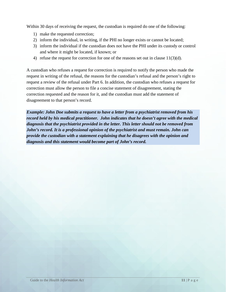Within 30 days of receiving the request, the custodian is required do one of the following:

- 1) make the requested correction;
- 2) inform the individual, in writing, if the PHI no longer exists or cannot be located;
- 3) inform the individual if the custodian does not have the PHI under its custody or control and where it might be located, if known; or
- 4) refuse the request for correction for one of the reasons set out in clause  $11(3)(d)$ .

A custodian who refuses a request for correction is required to notify the person who made the request in writing of the refusal, the reasons for the custodian's refusal and the person's right to request a review of the refusal under Part 6. In addition, the custodian who refuses a request for correction must allow the person to file a concise statement of disagreement, stating the correction requested and the reason for it, and the custodian must add the statement of disagreement to that person's record.

*Example: John Doe submits a request to have a letter from a psychiatrist removed from his record held by his medical practitioner. John indicates that he doesn't agree with the medical diagnosis that the psychiatrist provided in the letter. This letter should not be removed from John's record. It is a professional opinion of the psychiatrist and must remain. John can provide the custodian with a statement explaining that he disagrees with the opinion and diagnosis and this statement would become part of John's record.*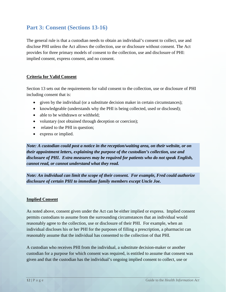# <span id="page-17-0"></span>**Part 3: Consent (Sections 13-16)**

The general rule is that a custodian needs to obtain an individual's consent to collect, use and disclose PHI unless the Act allows the collection, use or disclosure without consent. The Act provides for three primary models of consent to the collection, use and disclosure of PHI: implied consent, express consent, and no consent.

#### <span id="page-17-1"></span>**Criteria for Valid Consent**

Section 13 sets out the requirements for valid consent to the collection, use or disclosure of PHI including consent that is:

- given by the individual (or a substitute decision maker in certain circumstances);
- knowledgeable (understands why the PHI is being collected, used or disclosed);
- able to be withdrawn or withheld;
- voluntary (not obtained through deception or coercion);
- related to the PHI in question;
- express or implied.

*Note: A custodian could post a notice in the reception/waiting area, on their website, or on their appointment letters, explaining the purpose of the custodian's collection, use and disclosure of PHI. Extra measures may be required for patients who do not speak English, cannot read, or cannot understand what they read.*

*Note: An individual can limit the scope of their consent. For example, Fred could authorize disclosure of certain PHI to immediate family members except Uncle Joe.*

#### <span id="page-17-2"></span>**Implied Consent**

As noted above, consent given under the Act can be either implied or express. Implied consent permits custodians to assume from the surrounding circumstances that an individual would reasonably agree to the collection, use or disclosure of their PHI. For example, when an individual discloses his or her PHI for the purposes of filling a prescription, a pharmacist can reasonably assume that the individual has consented to the collection of that PHI.

A custodian who receives PHI from the individual, a substitute decision-maker or another custodian for a purpose for which consent was required, is entitled to assume that consent was given and that the custodian has the individual's ongoing implied consent to collect, use or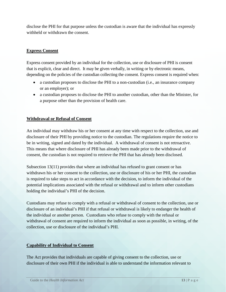<span id="page-18-0"></span>disclose the PHI for that purpose unless the custodian is aware that the individual has expressly withheld or withdrawn the consent.

## **Express Consent**

Express consent provided by an individual for the collection, use or disclosure of PHI is consent that is explicit, clear and direct. It may be given verbally, in writing or by electronic means, depending on the policies of the custodian collecting the consent. Express consent is required when:

- a custodian proposes to disclose the PHI to a non-custodian (i.e., an insurance company or an employer); or
- a custodian proposes to disclose the PHI to another custodian, other than the Minister, for a purpose other than the provision of health care.

## <span id="page-18-1"></span>**Withdrawal or Refusal of Consent**

An individual may withdraw his or her consent at any time with respect to the collection, use and disclosure of their PHI by providing notice to the custodian. The regulations require the notice to be in writing, signed and dated by the individual. A withdrawal of consent is not retroactive. This means that where disclosure of PHI has already been made prior to the withdrawal of consent, the custodian is not required to retrieve the PHI that has already been disclosed.

Subsection 13(11) provides that where an individual has refused to grant consent or has withdrawn his or her consent to the collection, use or disclosure of his or her PHI, the custodian is required to take steps to act in accordance with the decision, to inform the individual of the potential implications associated with the refusal or withdrawal and to inform other custodians holding the individual's PHI of the decision.

Custodians may refuse to comply with a refusal or withdrawal of consent to the collection, use or disclosure of an individual's PHI if that refusal or withdrawal is likely to endanger the health of the individual or another person. Custodians who refuse to comply with the refusal or withdrawal of consent are required to inform the individual as soon as possible, in writing, of the collection, use or disclosure of the individual's PHI.

#### <span id="page-18-2"></span>**Capability of Individual to Consent**

The Act provides that individuals are capable of giving consent to the collection, use or disclosure of their own PHI if the individual is able to understand the information relevant to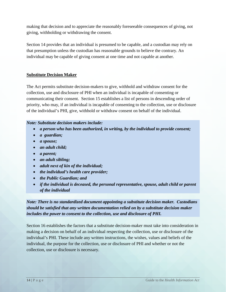making that decision and to appreciate the reasonably foreseeable consequences of giving, not giving, withholding or withdrawing the consent.

Section 14 provides that an individual is presumed to be capable, and a custodian may rely on that presumption unless the custodian has reasonable grounds to believe the contrary. An individual may be capable of giving consent at one time and not capable at another.

## <span id="page-19-0"></span>**Substitute Decision Maker**

The Act permits substitute decision-makers to give, withhold and withdraw consent for the collection, use and disclosure of PHI when an individual is incapable of consenting or communicating their consent. Section 15 establishes a list of persons in descending order of priority, who may, if an individual is incapable of consenting to the collection, use or disclosure of the individual's PHI, give, withhold or withdraw consent on behalf of the individual.

#### *Note: Substitute decision makers include:*

- *a person who has been authorized, in writing, by the individual to provide consent;*
- *a guardian;*
- *a spouse;*
- *an adult child;*
- *a parent;*
- *an adult sibling;*
- *adult next of kin of the individual;*
- *the individual's health care provider;*
- *the Public Guardian; and*
- *if the individual is deceased, the personal representative, spouse, adult child or parent of the individual*

*Note: There is no standardized document appointing a substitute decision maker. Custodians should be satisfied that any written documentation relied on by a substitute decision maker includes the power to consent to the collection, use and disclosure of PHI.*

Section 16 establishes the factors that a substitute decision-maker must take into consideration in making a decision on behalf of an individual respecting the collection, use or disclosure of the individual's PHI. These include any written instructions, the wishes, values and beliefs of the individual, the purpose for the collection, use or disclosure of PHI and whether or not the collection, use or disclosure is necessary.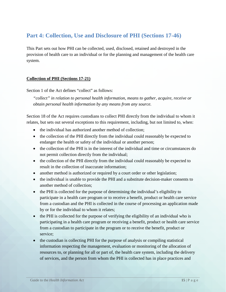# <span id="page-20-0"></span>**Part 4: Collection, Use and Disclosure of PHI (Sections 17-46)**

This Part sets out how PHI can be collected, used, disclosed, retained and destroyed in the provision of health care to an individual or for the planning and management of the health care system.

## <span id="page-20-1"></span>**Collection of PHI (Sections 17-21)**

Section 1 of the Act defines "collect" as follows:

*"collect" in relation to personal health information, means to gather, acquire, receive or obtain personal health information by any means from any source.*

Section 18 of the Act requires custodians to collect PHI directly from the individual to whom it relates, but sets out several exceptions to this requirement, including, but not limited to, when:

- the individual has authorized another method of collection;
- the collection of the PHI directly from the individual could reasonably be expected to endanger the health or safety of the individual or another person;
- the collection of the PHI is in the interest of the individual and time or circumstances do not permit collection directly from the individual;
- the collection of the PHI directly from the individual could reasonably be expected to result in the collection of inaccurate information;
- another method is authorized or required by a court order or other legislation;
- the individual is unable to provide the PHI and a substitute decision-maker consents to another method of collection;
- the PHI is collected for the purpose of determining the individual's eligibility to participate in a health care program or to receive a benefit, product or health care service from a custodian and the PHI is collected in the course of processing an application made by or for the individual to whom it relates;
- the PHI is collected for the purpose of verifying the eligibility of an individual who is participating in a health care program or receiving a benefit, product or health care service from a custodian to participate in the program or to receive the benefit, product or service;
- the custodian is collecting PHI for the purpose of analysis or compiling statistical information respecting the management, evaluation or monitoring of the allocation of resources to, or planning for all or part of, the health care system, including the delivery of services, and the person from whom the PHI is collected has in place practices and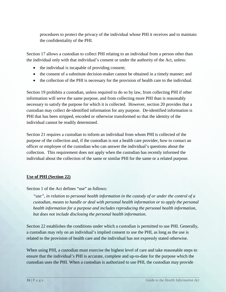procedures to protect the privacy of the individual whose PHI it receives and to maintain the confidentiality of the PHI.

Section 17 allows a custodian to collect PHI relating to an individual from a person other than the individual only with that individual's consent or under the authority of the Act, unless:

- the individual is incapable of providing consent;
- the consent of a substitute decision-maker cannot be obtained in a timely manner; and
- the collection of the PHI is necessary for the provision of health care to the individual.

Section 19 prohibits a custodian, unless required to do so by law, from collecting PHI if other information will serve the same purpose, and from collecting more PHI than is reasonably necessary to satisfy the purpose for which it is collected. However, section 20 provides that a custodian may collect de-identified information for any purpose. De-identified information is PHI that has been stripped, encoded or otherwise transformed so that the identity of the individual cannot be readily determined.

Section 21 requires a custodian to inform an individual from whom PHI is collected of the purpose of the collection and, if the custodian is not a health care provider, how to contact an officer or employee of the custodian who can answer the individual's questions about the collection. This requirement does not apply when the custodian has recently informed the individual about the collection of the same or similar PHI for the same or a related purpose.

#### <span id="page-21-0"></span>**Use of PHI (Section 22)**

Section 1 of the Act defines "use" as follows:

*"use", in relation to personal health information in the custody of or under the control of a custodian, means to handle or deal with personal health information or to apply the personal health information for a purpose and includes reproducing the personal health information, but does not include disclosing the personal health information.*

Section 22 establishes the conditions under which a custodian is permitted to use PHI. Generally, a custodian may rely on an individual's implied consent to use the PHI, as long as the use is related to the provision of health care and the individual has not expressly stated otherwise.

When using PHI, a custodian must exercise the highest level of care and take reasonable steps to ensure that the individual's PHI is accurate, complete and up-to-date for the purpose which the custodian uses the PHI. When a custodian is authorized to use PHI, the custodian may provide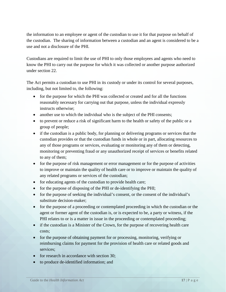the information to an employee or agent of the custodian to use it for that purpose on behalf of the custodian. The sharing of information between a custodian and an agent is considered to be a use and not a disclosure of the PHI.

Custodians are required to limit the use of PHI to only those employees and agents who need to know the PHI to carry out the purpose for which it was collected or another purpose authorized under section 22.

The Act permits a custodian to use PHI in its custody or under its control for several purposes, including, but not limited to, the following:

- for the purpose for which the PHI was collected or created and for all the functions reasonably necessary for carrying out that purpose, unless the individual expressly instructs otherwise;
- another use to which the individual who is the subject of the PHI consents;
- to prevent or reduce a risk of significant harm to the health or safety of the public or a group of people;
- if the custodian is a public body, for planning or delivering programs or services that the custodian provides or that the custodian funds in whole or in part, allocating resources to any of those programs or services, evaluating or monitoring any of them or detecting, monitoring or preventing fraud or any unauthorized receipt of services or benefits related to any of them;
- for the purpose of risk management or error management or for the purpose of activities to improve or maintain the quality of health care or to improve or maintain the quality of any related programs or services of the custodian;
- for educating agents of the custodian to provide health care;
- for the purpose of disposing of the PHI or de-identifying the PHI;
- for the purpose of seeking the individual's consent, or the consent of the individual's substitute decision-maker;
- for the purpose of a proceeding or contemplated proceeding in which the custodian or the agent or former agent of the custodian is, or is expected to be, a party or witness, if the PHI relates to or is a matter in issue in the proceeding or contemplated proceeding;
- if the custodian is a Minister of the Crown, for the purpose of recovering health care costs;
- for the purpose of obtaining payment for or processing, monitoring, verifying or reimbursing claims for payment for the provision of health care or related goods and services;
- for research in accordance with section 30;
- to produce de-identified information; and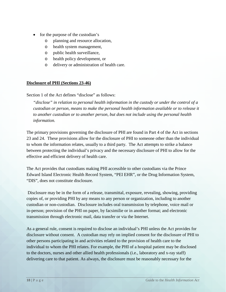- for the purpose of the custodian's
	- o planning and resource allocation,
	- o health system management,
	- o public health surveillance,
	- o health policy development, or
	- o delivery or administration of health care.

## <span id="page-23-0"></span>**Disclosure of PHI (Sections 23-46)**

Section 1 of the Act defines "disclose" as follows:

*"disclose" in relation to personal health information in the custody or under the control of a custodian or person, means to make the personal health information available or to release it to another custodian or to another person, but does not include using the personal health information.*

The primary provisions governing the disclosure of PHI are found in Part 4 of the Act in sections 23 and 24. These provisions allow for the disclosure of PHI to someone other than the individual to whom the information relates, usually to a third party. The Act attempts to strike a balance between protecting the individual's privacy and the necessary disclosure of PHI to allow for the effective and efficient delivery of health care.

The Act provides that custodians making PHI accessible to other custodians via the Prince Edward Island Electronic Health Record System, "PEI EHR", or the Drug Information System, "DIS", does not constitute disclosure.

Disclosure may be in the form of a release, transmittal, exposure, revealing, showing, providing copies of, or providing PHI by any means to any person or organization, including to another custodian or non-custodian. Disclosure includes oral transmission by telephone, voice mail or in-person; provision of the PHI on paper, by facsimilie or in another format; and electronic transmission through electronic mail, data transfer or via the Internet.

As a general rule, consent is required to disclose an individual's PHI unless the Act provides for disclosure without consent. A custodian may rely on implied consent for the disclosure of PHI to other persons participating in and activities related to the provision of health care to the individual to whom the PHI relates. For example, the PHI of a hospital patient may be disclosed to the doctors, nurses and other allied health professionals (i.e., laboratory and x-ray staff) delivering care to that patient. As always, the disclosure must be reasonably necessary for the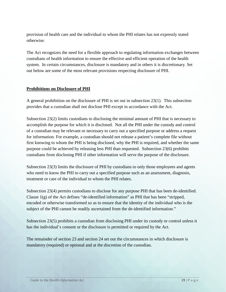provision of health care and the individual to whom the PHI relates has not expressly stated otherwise.

The Act recognizes the need for a flexible approach to regulating information exchanges between custodians of health information to ensure the effective and efficient operation of the health system. In certain circumstances, disclosure is mandatory and in others it is discretionary. Set out below are some of the most relevant provisions respecting disclosure of PHI.

#### <span id="page-24-0"></span>**Prohibitions on Disclosure of PHI**

A general prohibition on the disclosure of PHI is set out in subsection 23(1). This subsection provides that a custodian shall not disclose PHI except in accordance with the Act.

Subsection 23(2) limits custodians to disclosing the minimal amount of PHI that is necessary to accomplish the purpose for which it is disclosed. Not all the PHI under the custody and control of a custodian may be relevant or necessary to carry out a specified purpose or address a request for information. For example, a custodian should not release a patient's complete file without first knowing to whom the PHI is being disclosed, why the PHI is required, and whether the same purpose could be achieved by releasing less PHI than requested. Subsection 23(6) prohibits custodians from disclosing PHI if other information will serve the purpose of the disclosure.

Subsection 23(3) limits the disclosure of PHI by custodians to only those employees and agents who need to know the PHI to carry out a specified purpose such as an assessment, diagnosis, treatment or care of the individual to whom the PHI relates.

Subsection 23(4) permits custodians to disclose for any purpose PHI that has been de-identified. Clause 1(g) of the Act defines "de-identified information" as PHI that has been "stripped, encoded or otherwise transformed so as to ensure that the identity of the individual who is the subject of the PHI cannot be readily ascertained from the de-identified information."

Subsection 23(5) prohibits a custodian from disclosing PHI under its custody or control unless it has the individual's consent or the disclosure is permitted or required by the Act.

The remainder of section 23 and section 24 set out the circumstances in which disclosure is mandatory (required) or optional and at the discretion of the custodian.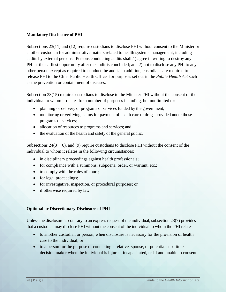## <span id="page-25-0"></span>**Mandatory Disclosure of PHI**

Subsections 23(11) and (12) require custodians to disclose PHI without consent to the Minister or another custodian for administrative matters related to health systems management, including audits by external persons. Persons conducting audits shall:1) agree in writing to destroy any PHI at the earliest opportunity after the audit is concluded; and 2) not to disclose any PHI to any other person except as required to conduct the audit. In addition, custodians are required to release PHI to the Chief Public Health Officer for purposes set out in the *Public Health Act* such as the prevention or containment of diseases.

Subsection 23(15) requires custodians to disclose to the Minister PHI without the consent of the individual to whom it relates for a number of purposes including, but not limited to:

- planning or delivery of programs or services funded by the government;
- monitoring or verifying claims for payment of health care or drugs provided under those programs or services;
- allocation of resources to programs and services; and
- the evaluation of the health and safety of the general public.

Subsections 24(3), (6), and (9) require custodians to disclose PHI without the consent of the individual to whom it relates in the following circumstances:

- in disciplinary proceedings against health professionals;
- for compliance with a summons, subpoena, order, or warrant, etc.;
- to comply with the rules of court;
- for legal proceedings;
- for investigative, inspection, or procedural purposes; or
- if otherwise required by law.

#### <span id="page-25-1"></span>**Optional or Discretionary Disclosure of PHI**

Unless the disclosure is contrary to an express request of the individual, subsection 23(7) provides that a custodian may disclose PHI without the consent of the individual to whom the PHI relates:

- to another custodian or person, when disclosure is necessary for the provision of health care to the individual; or
- to a person for the purpose of contacting a relative, spouse, or potential substitute decision maker when the individual is injured, incapacitated, or ill and unable to consent.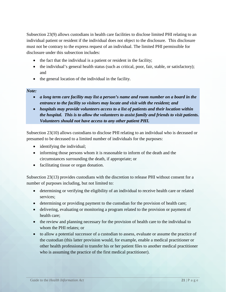Subsection 23(9) allows custodians in health care facilities to disclose limited PHI relating to an individual patient or resident if the individual does not object to the disclosure. This disclosure must not be contrary to the express request of an individual. The limited PHI permissible for disclosure under this subsection includes:

- the fact that the individual is a patient or resident in the facility;
- the individual's general health status (such as critical, poor, fair, stable, or satisfactory); and
- the general location of the individual in the facility.

#### *Note:*

- *a long term care facility may list a person's name and room number on a board in the entrance to the facility so visitors may locate and visit with the resident; and*
- *hospitals may provide volunteers access to a list of patients and their location within the hospital. This is to allow the volunteers to assist family and friends to visit patients. Volunteers should not have access to any other patient PHI.*

Subsection 23(10) allows custodians to disclose PHI relating to an individual who is deceased or presumed to be deceased to a limited number of individuals for the purposes:

- identifying the individual;
- informing those persons whom it is reasonable to inform of the death and the circumstances surrounding the death, if appropriate; or
- facilitating tissue or organ donation.

Subsection 23(13) provides custodians with the discretion to release PHI without consent for a number of purposes including, but not limited to:

- determining or verifying the eligibility of an individual to receive health care or related services;
- determining or providing payment to the custodian for the provision of health care;
- delivering, evaluating or monitoring a program related to the provision or payment of health care;
- the review and planning necessary for the provision of health care to the individual to whom the PHI relates; or
- to allow a potential successor of a custodian to assess, evaluate or assume the practice of the custodian (this latter provision would, for example, enable a medical practitioner or other health professional to transfer his or her patient files to another medical practitioner who is assuming the practice of the first medical practitioner).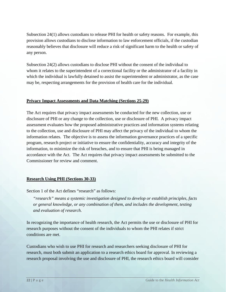Subsection 24(1) allows custodians to release PHI for health or safety reasons. For example, this provision allows custodians to disclose information to law enforcement officials, if the custodian reasonably believes that disclosure will reduce a risk of significant harm to the health or safety of any person.

Subsection 24(2) allows custodians to disclose PHI without the consent of the individual to whom it relates to the superintendent of a correctional facility or the administrator of a facility in which the individual is lawfully detained to assist the superintendent or administrator, as the case may be, respecting arrangements for the provision of health care for the individual.

#### <span id="page-27-0"></span>**Privacy Impact Assessments and Data Matching (Sections 25-29)**

The Act requires that privacy impact assessments be conducted for the new collection, use or disclosure of PHI or any change to the collection, use or disclosure of PHI. A privacy impact assessment evaluates how the proposed administrative practices and information systems relating to the collection, use and disclosure of PHI may affect the privacy of the individual to whom the information relates. The objective is to assess the information governance practices of a specific program, research project or initiative to ensure the confidentiality, accuracy and integrity of the information, to minimize the risk of breaches, and to ensure that PHI is being managed in accordance with the Act. The Act requires that privacy impact assessments be submitted to the Commissioner for review and comment.

#### <span id="page-27-1"></span>**Research Using PHI (Sections 30-33)**

Section 1 of the Act defines "research" as follows:

*"research" means a systemic investigation designed to develop or establish principles, facts or general knowledge, or any combination of them, and includes the development, testing and evaluation of research.*

In recognizing the importance of health research, the Act permits the use or disclosure of PHI for research purposes without the consent of the individuals to whom the PHI relates if strict conditions are met.

Custodians who wish to use PHI for research and researchers seeking disclosure of PHI for research, must both submit an application to a research ethics board for approval. In reviewing a research proposal involving the use and disclosure of PHI, the research ethics board will consider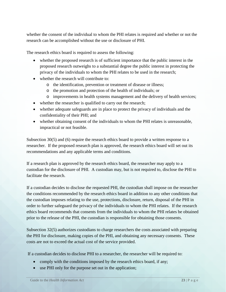whether the consent of the individual to whom the PHI relates is required and whether or not the research can be accomplished without the use or disclosure of PHI.

The research ethics board is required to assess the following:

- whether the proposed research is of sufficient importance that the public interest in the proposed research outweighs to a substantial degree the public interest in protecting the privacy of the individuals to whom the PHI relates to be used in the research;
- whether the research will contribute to:
	- o the identification, prevention or treatment of disease or illness;
	- o the promotion and protection of the health of individuals; or
	- o improvements in health systems management and the delivery of health services;
- whether the researcher is qualified to carry out the research;
- whether adequate safeguards are in place to protect the privacy of individuals and the confidentiality of their PHI; and
- whether obtaining consent of the individuals to whom the PHI relates is unreasonable, impractical or not feasible.

Subsection 30(5) and (6) require the research ethics board to provide a written response to a researcher. If the proposed research plan is approved, the research ethics board will set out its recommendations and any applicable terms and conditions.

If a research plan is approved by the research ethics board, the researcher may apply to a custodian for the disclosure of PHI. A custodian may, but is not required to, disclose the PHI to facilitate the research.

If a custodian decides to disclose the requested PHI, the custodian shall impose on the researcher the conditions recommended by the research ethics board in addition to any other conditions that the custodian imposes relating to the use, protections, disclosure, return, disposal of the PHI in order to further safeguard the privacy of the individuals to whom the PHI relates. If the research ethics board recommends that consents from the individuals to whom the PHI relates be obtained prior to the release of the PHI, the custodian is responsible for obtaining those consents.

Subsection 32(5) authorizes custodians to charge researchers the costs associated with preparing the PHI for disclosure, making copies of the PHI, and obtaining any necessary consents. These costs are not to exceed the actual cost of the service provided.

If a custodian decides to disclose PHI to a researcher, the researcher will be required to:

- comply with the conditions imposed by the research ethics board, if any;
- use PHI only for the purpose set out in the application;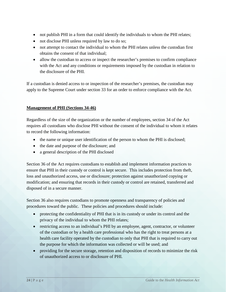- not publish PHI in a form that could identify the individuals to whom the PHI relates;
- not disclose PHI unless required by law to do so;
- not attempt to contact the individual to whom the PHI relates unless the custodian first obtains the consent of that individual;
- allow the custodian to access or inspect the researcher's premises to confirm compliance with the Act and any conditions or requirements imposed by the custodian in relation to the disclosure of the PHI.

If a custodian is denied access to or inspection of the researcher's premises, the custodian may apply to the Supreme Court under section 33 for an order to enforce compliance with the Act.

## <span id="page-29-0"></span>**Management of PHI (Sections 34-46)**

Regardless of the size of the organization or the number of employees, section 34 of the Act requires all custodians who disclose PHI without the consent of the individual to whom it relates to record the following information:

- the name or unique user identification of the person to whom the PHI is disclosed;
- the date and purpose of the disclosure; and
- a general description of the PHI disclosed

Section 36 of the Act requires custodians to establish and implement information practices to ensure that PHI in their custody or control is kept secure. This includes protection from theft, loss and unauthorized access, use or disclosure; protection against unauthorized copying or modification; and ensuring that records in their custody or control are retained, transferred and disposed of in a secure manner.

Section 36 also requires custodians to promote openness and transparency of policies and procedures toward the public. These policies and procedures should include:

- protecting the confidentiality of PHI that is in its custody or under its control and the privacy of the individual to whom the PHI relates;
- restricting access to an individual's PHI by an employee, agent, contractor, or volunteer of the custodian or by a health care professional who has the right to treat persons at a health care facility operated by the custodian to only that PHI that is required to carry out the purpose for which the information was collected or will be used; and
- providing for the secure storage, retention and disposition of records to minimize the risk of unauthorized access to or disclosure of PHI.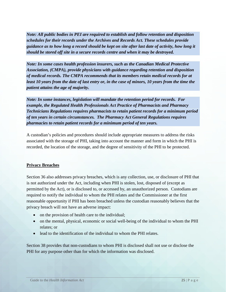*Note: All public bodies in PEI are required to establish and follow retention and disposition schedules for their records under the Archives and Records Act. These schedules provide guidance as to how long a record should be kept on site after last date of activity, how long it should be stored off site in a secure records centre and when it may be destroyed.* 

*Note: In some cases health profession insurers, such as the Canadian Medical Protective Association, (CMPA), provide physicians with guidance regarding retention and disposition of medical records. The CMPA recommends that its members retain medical records for at*  least 10 years from the date of last entry or, in the case of minors, 10 years from the time the *patient attains the age of majority.*

*Note: In some instances, legislation will mandate the retention period for records. For example, the Regulated Health Professionals Act Practice of Pharmacists and Pharmacy Technicians Regulations requires pharmacists to retain patient records for a minimum period of ten years in certain circumstances. The Pharmacy Act General Regulations requires pharmacies to retain patient records for a minimum period of ten years.*

A custodian's policies and procedures should include appropriate measures to address the risks associated with the storage of PHI, taking into account the manner and form in which the PHI is recorded, the location of the storage, and the degree of sensitivity of the PHI to be protected.

#### <span id="page-30-0"></span>**Privacy Breaches**

Section 36 also addresses privacy breaches, which is any collection, use, or disclosure of PHI that is not authorized under the Act, including when PHI is stolen, lost, disposed of (except as permitted by the Act), or is disclosed to, or accessed by, an unauthorized person. Custodians are required to notify the individual to whom the PHI relates and the Commissioner at the first reasonable opportunity if PHI has been breached unless the custodian reasonably believes that the privacy breach will not have an adverse impact:

- on the provision of health care to the individual;
- on the mental, physical, economic or social well-being of the individual to whom the PHI relates; or
- lead to the identification of the individual to whom the PHI relates.

Section 38 provides that non-custodians to whom PHI is disclosed shall not use or disclose the PHI for any purpose other than for which the information was disclosed.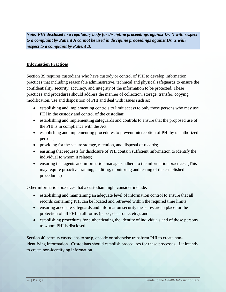*Note: PHI disclosed to a regulatory body for discipline proceedings against Dr. X with respect to a complaint by Patient A cannot be used in discipline proceedings against Dr. X with respect to a complaint by Patient B.*

#### <span id="page-31-0"></span>**Information Practices**

Section 39 requires custodians who have custody or control of PHI to develop information practices that including reasonable administrative, technical and physical safeguards to ensure the confidentiality, security, accuracy, and integrity of the information to be protected. These practices and procedures should address the manner of collection, storage, transfer, copying, modification, use and disposition of PHI and deal with issues such as:

- establishing and implementing controls to limit access to only those persons who may use PHI in the custody and control of the custodian;
- establishing and implementing safeguards and controls to ensure that the proposed use of the PHI is in compliance with the Act;
- establishing and implementing procedures to prevent interception of PHI by unauthorized persons;
- providing for the secure storage, retention, and disposal of records;
- ensuring that requests for disclosure of PHI contain sufficient information to identify the individual to whom it relates;
- ensuring that agents and information managers adhere to the information practices. (This may require proactive training, auditing, monitoring and testing of the established procedures.)

Other information practices that a custodian might consider include:

- establishing and maintaining an adequate level of information control to ensure that all records containing PHI can be located and retrieved within the required time limits;
- ensuring adequate safeguards and information security measures are in place for the protection of all PHI in all forms (paper, electronic, etc.); and
- establishing procedures for authenticating the identity of individuals and of those persons to whom PHI is disclosed.

Section 40 permits custodians to strip, encode or otherwise transform PHI to create nonidentifying information. Custodians should establish procedures for these processes, if it intends to create non-identifying information.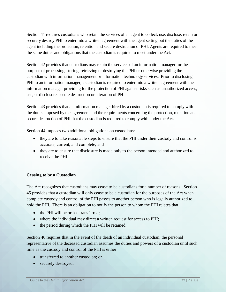Section 41 requires custodians who retain the services of an agent to collect, use, disclose, retain or securely destroy PHI to enter into a written agreement with the agent setting out the duties of the agent including the protection, retention and secure destruction of PHI. Agents are required to meet the same duties and obligations that the custodian is required to meet under the Act.

Section 42 provides that custodians may retain the services of an information manager for the purpose of processing, storing, retrieving or destroying the PHI or otherwise providing the custodian with information management or information technology services. Prior to disclosing PHI to an information manager, a custodian is required to enter into a written agreement with the information manager providing for the protection of PHI against risks such as unauthorized access, use, or disclosure, secure destruction or alteration of PHI.

Section 43 provides that an information manager hired by a custodian is required to comply with the duties imposed by the agreement and the requirements concerning the protection, retention and secure destruction of PHI that the custodian is required to comply with under the Act.

Section 44 imposes two additional obligations on custodians:

- they are to take reasonable steps to ensure that the PHI under their custody and control is accurate, current, and complete; and
- they are to ensure that disclosure is made only to the person intended and authorized to receive the PHI.

#### <span id="page-32-0"></span>**Ceasing to be a Custodian**

The Act recognizes that custodians may cease to be custodians for a number of reasons. Section 45 provides that a custodian will only cease to be a custodian for the purposes of the Act when complete custody and control of the PHI passes to another person who is legally authorized to hold the PHI. There is an obligation to notify the person to whom the PHI relates that:

- the PHI will be or has transferred;
- where the individual may direct a written request for access to PHI;
- the period during which the PHI will be retained.

Section 46 requires that in the event of the death of an individual custodian, the personal representative of the deceased custodian assumes the duties and powers of a custodian until such time as the custody and control of the PHI is either

- transferred to another custodian; or
- securely destroyed.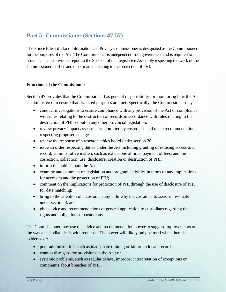# <span id="page-33-0"></span>**Part 5: Commissioner (Sections 47-57)**

The Prince Edward Island Information and Privacy Commissioner is designated as the Commissioner for the purposes of the Act. The Commissioner is independent from government and is required to provide an annual written report to the Speaker of the Legislative Assembly respecting the work of the Commissioner's office and other matters relating to the protection of PHI.

#### <span id="page-33-1"></span>**Functions of the Commissioner**

Section 47 provides that the Commissioner has general responsibility for monitoring how the Act is administered to ensure that its stated purposes are met. Specifically, the Commissioner may:

- conduct investigations to ensure compliance with any provision of the Act or compliance with rules relating to the destruction of records in accordance with rules relating to the destruction of PHI set out in any other provincial legislation;
- review privacy impact assessments submitted by custodians and make recommendations respecting proposed changes;
- review the response of a research ethics board under section 30;
- issue an order respecting duties under the Act including granting or refusing access to a record; administrative matters such as extensions of time, payment of fees, and the correction, collection, use, disclosure, creation or destruction of PHI;
- inform the public about the Act;
- examine and comment on legislation and program activities in terms of any implications for access to and the protection of PHI;
- comment on the implications for protection of PHI through the use of disclosure of PHI for data matching;
- bring to the attention of a custodian any failure by the custodian to assist individuals under section 8; and
- give advice and recommendations of general application to custodians regarding the rights and obligations of custodians.

The Commissioner may use the advice and recommendation power to suggest improvements on the way a custodian deals with requests. The power will likely only be used when there is evidence of:

- poor administration, such as inadequate training or failure to locate records;
- wanton disregard for provisions in the Act; or
- systemic problems, such as regular delays, improper interpretation of exceptions or complaints about breaches of PHI.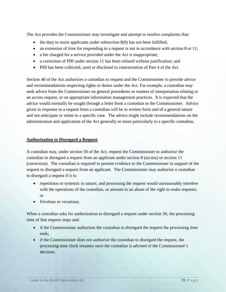The Act provides the Commissioner may investigate and attempt to resolve complaints that:

- the duty to assist applicants under subsection 8(9) has not been fulfilled;
- an extension of time for responding to a request is not in accordance with section 8 or 11;
- a fee charged for a service provided under the Act is inappropriate;
- a correction of PHI under section 11 has been refused without justification; and
- PHI has been collected, used or disclosed in contravention of Part 4 of the Act.

Section 48 of the Act authorizes a custodian to request and the Commissioner to provide advice and recommendations respecting rights or duties under the Act. For example, a custodian may seek advice from the Commissioner on general procedures or matters of interpretation relating to an access request, or on appropriate information management practices. It is expected that the advice would normally be sought through a letter from a custodian to the Commissioner. Advice given in response to a request from a custodian will be in written form and of a general nature and not anticipate or relate to a specific case. The advice might include recommendations on the administration and application of the Act generally or more particularly to a specific custodian.

#### <span id="page-34-0"></span>**Authorization to Disregard a Request**

A custodian may, under section 50 of the Act, request the Commissioner to authorize the custodian to disregard a request from an applicant under section 8 (access) or section 11 (correction). The custodian is required to present evidence to the Commissioner in support of the request to disregard a request from an applicant. The Commissioner may authorize a custodian to disregard a request if it is:

- repetitious or systemic in nature, and processing the request would unreasonably interfere with the operations of the custodian, or amount to an abuse of the right to make requests; or
- frivolous or vexatious.

When a custodian asks for authorization to disregard a request under section 50, the processing time of that request stops and:

- if the Commissioner authorizes the custodian to disregard the request the processing time ends;
- if the Commissioner does not authorize the custodian to disregard the request, the processing time clock resumes once the custodian is advised of the Commissioner's decision.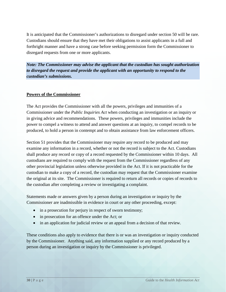It is anticipated that the Commissioner's authorizations to disregard under section 50 will be rare. Custodians should ensure that they have met their obligations to assist applicants in a full and forthright manner and have a strong case before seeking permission form the Commissioner to disregard requests from one or more applicants.

*Note: The Commissioner may advise the applicant that the custodian has sought authorization to disregard the request and provide the applicant with an opportunity to respond to the custodian's submissions.*

#### <span id="page-35-0"></span>**Powers of the Commissioner**

The Act provides the Commissioner with all the powers, privileges and immunities of a Commissioner under the *Public Inquiries Act* when conducting an investigation or an inquiry or in giving advice and recommendations. These powers, privileges and immunities include the power to compel a witness to attend and answer questions at an inquiry, to compel records to be produced, to hold a person in contempt and to obtain assistance from law enforcement officers.

Section 51 provides that the Commissioner may require any record to be produced and may examine any information in a record, whether or not the record is subject to the Act. Custodians shall produce any record or copy of a record requested by the Commissioner within 10 days. All custodians are required to comply with the request from the Commissioner regardless of any other provincial legislation unless otherwise provided in the Act. If it is not practicable for the custodian to make a copy of a record, the custodian may request that the Commissioner examine the original at its site. The Commissioner is required to return all records or copies of records to the custodian after completing a review or investigating a complaint.

Statements made or answers given by a person during an investigation or inquiry by the Commissioner are inadmissible in evidence in court or any other proceeding, except:

- in a prosecution for perjury in respect of sworn testimony;
- in prosecution for an offence under the Act; or
- in an application for judicial review or an appeal from a decision of that review.

These conditions also apply to evidence that there is or was an investigation or inquiry conducted by the Commissioner. Anything said, any information supplied or any record produced by a person during an investigation or inquiry by the Commissioner is privileged.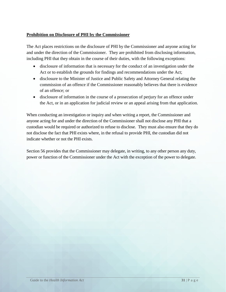## <span id="page-36-0"></span>**Prohibition on Disclosure of PHI by the Commissioner**

The Act places restrictions on the disclosure of PHI by the Commissioner and anyone acting for and under the direction of the Commissioner. They are prohibited from disclosing information, including PHI that they obtain in the course of their duties, with the following exceptions:

- disclosure of information that is necessary for the conduct of an investigation under the Act or to establish the grounds for findings and recommendations under the Act;
- disclosure to the Minister of Justice and Public Safety and Attorney General relating the commission of an offence if the Commissioner reasonably believes that there is evidence of an offence; or
- disclosure of information in the course of a prosecution of perjury for an offence under the Act, or in an application for judicial review or an appeal arising from that application.

When conducting an investigation or inquiry and when writing a report, the Commissioner and anyone acting for and under the direction of the Commissioner shall not disclose any PHI that a custodian would be required or authorized to refuse to disclose. They must also ensure that they do not disclose the fact that PHI exists where, in the refusal to provide PHI, the custodian did not indicate whether or not the PHI exists.

Section 56 provides that the Commissioner may delegate, in writing, to any other person any duty, power or function of the Commissioner under the Act with the exception of the power to delegate.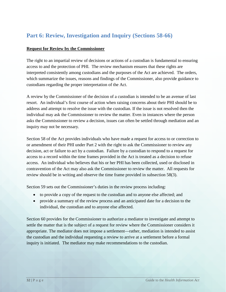# <span id="page-37-0"></span>**Part 6: Review, Investigation and Inquiry (Sections 58-66)**

#### <span id="page-37-1"></span>**Request for Review by the Commissioner**

The right to an impartial review of decisions or actions of a custodian is fundamental to ensuring access to and the protection of PHI. The review mechanism ensures that these rights are interpreted consistently among custodians and the purposes of the Act are achieved. The orders, which summarize the issues, reasons and findings of the Commissioner, also provide guidance to custodians regarding the proper interpretation of the Act.

A review by the Commissioner of the decision of a custodian is intended to be an avenue of last resort. An individual's first course of action when raising concerns about their PHI should be to address and attempt to resolve the issue with the custodian. If the issue is not resolved then the individual may ask the Commissioner to review the matter. Even in instances where the person asks the Commissioner to review a decision, issues can often be settled through mediation and an inquiry may not be necessary.

Section 58 of the Act provides individuals who have made a request for access to or correction to or amendment of their PHI under Part 2 with the right to ask the Commissioner to review any decision, act or failure to act by a custodian. Failure by a custodian to respond to a request for access to a record within the time frames provided in the Act is treated as a decision to refuse access. An individual who believes that his or her PHI has been collected, used or disclosed in contravention of the Act may also ask the Commissioner to review the matter. All requests for review should be in writing and observe the time frame provided in subsection 58(3).

Section 59 sets out the Commissioner's duties in the review process including:

- to provide a copy of the request to the custodian and to anyone else affected; and
- provide a summary of the review process and an anticipated date for a decision to the individual, the custodian and to anyone else affected.

Section 60 provides for the Commissioner to authorize a mediator to investigate and attempt to settle the matter that is the subject of a request for review where the Commissioner considers it appropriate. The mediator does not impose a settlement—rather, mediation is intended to assist the custodian and the individual requesting a review to arrive at a settlement before a formal inquiry is initiated. The mediator may make recommendations to the custodian.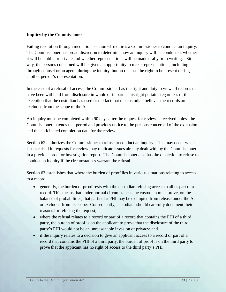## <span id="page-38-0"></span>**Inquiry by the Commissioner**

Failing resolution through mediation, section 61 requires a Commissioner to conduct an inquiry. The Commissioner has broad discretion to determine how an inquiry will be conducted, whether it will be public or private and whether representations will be made orally or in writing. Either way, the persons concerned will be given an opportunity to make representations, including through counsel or an agent, during the inquiry, but no one has the right to be present during another person's representation.

In the case of a refusal of access, the Commissioner has the right and duty to view all records that have been withheld from disclosure in whole or in part. This right pertains regardless of the exception that the custodian has used or the fact that the custodian believes the records are excluded from the scope of the Act.

An inquiry must be completed within 90 days after the request for review is received unless the Commissioner extends that period and provides notice to the persons concerned of the extension and the anticipated completion date for the review.

Section 62 authorizes the Commissioner to refuse to conduct an inquiry. This may occur when issues raised in requests for review may replicate issues already dealt with by the Commissioner in a previous order or investigation report. The Commissioner also has the discretion to refuse to conduct an inquiry if the circumstances warrant the refusal.

Section 63 establishes that where the burden of proof lies in various situations relating to access to a record:

- generally, the burden of proof rests with the custodian refusing access to all or part of a record. This means that under normal circumstances the custodian must prove, on the balance of probabilities, that particular PHI may be exempted from release under the Act or excluded from its scope. Consequently, custodians should carefully document their reasons for refusing the request;
- where the refusal relates to a record or part of a record that contains the PHI of a third party, the burden of proof is on the applicant to prove that the disclosure of the third party's PHI would not be an unreasonable invasion of privacy; and
- if the inquiry relates to a decision to give an applicant access to a record or part of a record that contains the PHI of a third party, the burden of proof is on the third party to prove that the applicant has no right of access to the third party's PHI.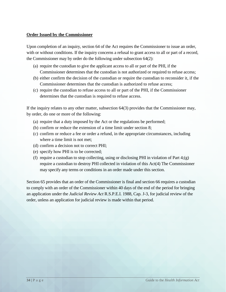#### <span id="page-39-0"></span>**Order Issued by the Commissioner**

Upon completion of an inquiry, section 64 of the Act requires the Commissioner to issue an order, with or without conditions. If the inquiry concerns a refusal to grant access to all or part of a record, the Commissioner may by order do the following under subsection 64(2):

- (a) require the custodian to give the applicant access to all or part of the PHI, if the Commissioner determines that the custodian is not authorized or required to refuse access;
- (b) either confirm the decision of the custodian or require the custodian to reconsider it, if the Commissioner determines that the custodian is authorized to refuse access;
- (c) require the custodian to refuse access to all or part of the PHI, if the Commissioner determines that the custodian is required to refuse access.

If the inquiry relates to any other matter, subsection 64(3) provides that the Commissioner may, by order, do one or more of the following:

- (a) require that a duty imposed by the Act or the regulations be performed;
- (b) confirm or reduce the extension of a time limit under section 8;
- (c) confirm or reduce a fee or order a refund, in the appropriate circumstances, including where a time limit is not met;
- (d) confirm a decision not to correct PHI;
- (e) specify how PHI is to be corrected;
- (f) require a custodian to stop collecting, using or disclosing PHI in violation of Part 4;(g) require a custodian to destroy PHI collected in violation of this Act(4) The Commissioner may specify any terms or conditions in an order made under this section.

Section 65 provides that an order of the Commissioner is final and section 66 requires a custodian to comply with an order of the Commissioner within 40 days of the end of the period for bringing an application under the *Judicial Review Act* R.S.P.E.I. 1988, Cap. J-3, for judicial review of the order, unless an application for judicial review is made within that period.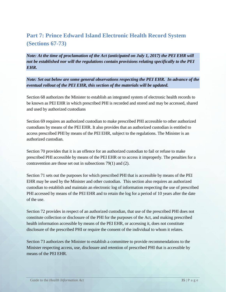# <span id="page-40-0"></span>**Part 7: Prince Edward Island Electronic Health Record System (Sections 67-73)**

*Note: At the time of proclamation of the Act (anticipated on July 1, 2017) the PEI EHR will not be established nor will the regulations contain provisions relating specifically to the PEI EHR.* 

*Note: Set out below are some general observations respecting the PEI EHR. In advance of the eventual rollout of the PEI EHR, this section of the materials will be updated.*

Section 68 authorizes the Minister to establish an integrated system of electronic health records to be known as PEI EHR in which prescribed PHI is recorded and stored and may be accessed, shared and used by authorized custodians

Section 69 requires an authorized custodian to make prescribed PHI accessible to other authorized custodians by means of the PEI EHR. It also provides that an authorized custodian is entitled to access prescribed PHI by means of the PEI EHR, subject to the regulations. The Minister is an authorized custodian.

Section 70 provides that it is an offence for an authorized custodian to fail or refuse to make prescribed PHI accessible by means of the PEI EHR or to access it improperly. The penalties for a contravention are those set out in subsections 79(1) and (2).

Section 71 sets out the purposes for which prescribed PHI that is accessible by means of the PEI EHR may be used by the Minister and other custodian. This section also requires an authorized custodian to establish and maintain an electronic log of information respecting the use of prescribed PHI accessed by means of the PEI EHR and to retain the log for a period of 10 years after the date of the use.

Section 72 provides in respect of an authorized custodian, that use of the prescribed PHI does not constitute collection or disclosure of the PHI for the purposes of the Act, and making prescribed health information accessible by means of the PEI EHR, or accessing it, does not constitute disclosure of the prescribed PHI or require the consent of the individual to whom it relates.

Section 73 authorizes the Minister to establish a committee to provide recommendations to the Minister respecting access, use, disclosure and retention of prescribed PHI that is accessible by means of the PEI EHR.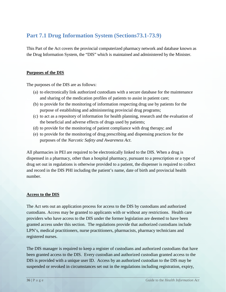# <span id="page-41-0"></span>**Part 7.1 Drug Information System (Sections73.1-73.9)**

This Part of the Act covers the provincial computerized pharmacy network and database known as the Drug Information System, the "DIS" which is maintained and administered by the Minister.

#### <span id="page-41-1"></span>**Purposes of the DIS**

The purposes of the DIS are as follows:

- (a) to electronically link authorized custodians with a secure database for the maintenance and sharing of the medication profiles of patients to assist in patient care;
- (b) to provide for the monitoring of information respecting drug use by patients for the purpose of establishing and administering provincial drug programs;
- (c) to act as a repository of information for health planning, research and the evaluation of the beneficial and adverse effects of drugs used by patients;
- (d) to provide for the monitoring of patient compliance with drug therapy; and
- (e) to provide for the monitoring of drug prescribing and dispensing practices for the purposes of the *Narcotic Safety and Awareness Act*.

All pharmacies in PEI are required to be electronically linked to the DIS. When a drug is dispensed in a pharmacy, other than a hospital pharmacy, pursuant to a prescription or a type of drug set out in regulations is otherwise provided to a patient, the dispenser is required to collect and record in the DIS PHI including the patient's name, date of birth and provincial health number.

#### <span id="page-41-2"></span>**Access to the DIS**

The Act sets out an application process for access to the DIS by custodians and authorized custodians. Access may be granted to applicants with or without any restrictions. Health care providers who have access to the DIS under the former legislation are deemed to have been granted access under this section. The regulations provide that authorized custodians include LPN's, medical practitioners, nurse practitioners, pharmacists, pharmacy technicians and registered nurses.

The DIS manager is required to keep a register of custodians and authorized custodians that have been granted access to the DIS. Every custodian and authorized custodian granted access to the DIS is provided with a unique user ID. Access by an authorized custodian to the DIS may be suspended or revoked in circumstances set out in the regulations including registration, expiry,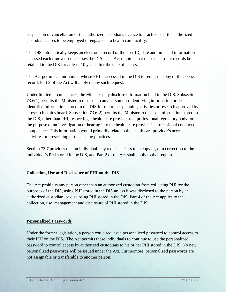suspension or cancellation of the authorized custodians licence to practice or if the authorized custodian ceases to be employed or engaged at a health care facility.

The DIS automatically keeps an electronic record of the user ID, date and time and information accessed each time a user accesses the DIS. The Act requires that these electronic records be retained in the DIS for at least 10 years after the date of access.

The Act permits an individual whose PHI is accessed in the DIS to request a copy of the access record. Part 2 of the Act will apply to any such request.

Under limited circumstances, the Minister may disclose information held in the DIS. Subsection 73.6(1) permits the Minister to disclose to any person non-identifying information or deidentified information stored in the DIS for reports or planning activities or research approved by a research ethics board. Subsection 73.6(2) permits the Minister to disclose information stored in the DIS, other than PHI, respecting a health care provider to a professional regulatory body for the purpose of an investigation or hearing into the health care provider's professional conduct or competence. This information would primarily relate to the health care provider's access activities or prescribing or dispensing practices.

Section 73.7 provides that an individual may request access to, a copy of, or a correction to the individual's PHI stored in the DIS, and Part 2 of the Act shall apply to that request.

#### <span id="page-42-0"></span>**Collection, Use and Disclosure of PHI on the DIS**

The Act prohibits any person other than an authorized custodian from collecting PHI for the purposes of the DIS, using PHI stored in the DIS unless it was disclosed to the person by an authorized custodian, or disclosing PHI stored in the DIS. Part 4 of the Act applies to the collection, use, management and disclosure of PHI stored in the DIS.

#### <span id="page-42-1"></span>**Personalized Passwords**

Under the former legislation, a person could request a personalized password to control access to their PHI on the DIS. The Act permits these individuals to continue to use the personalized password to control access by authorized custodians to his or her PHI stored in the DIS. No new personalized passwords will be issued under the Act. Furthermore, personalized passwords are not assignable or transferable to another person.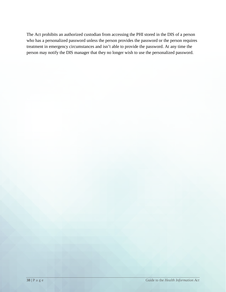The Act prohibits an authorized custodian from accessing the PHI stored in the DIS of a person who has a personalized password unless the person provides the password or the person requires treatment in emergency circumstances and isn't able to provide the password. At any time the person may notify the DIS manager that they no longer wish to use the personalized password.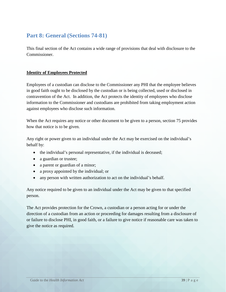# <span id="page-44-0"></span>**Part 8: General (Sections 74-81)**

This final section of the Act contains a wide range of provisions that deal with disclosure to the Commissioner.

## <span id="page-44-1"></span>**Identity of Employees Protected**

Employees of a custodian can disclose to the Commissioner any PHI that the employee believes in good faith ought to be disclosed by the custodian or is being collected, used or disclosed in contravention of the Act. In addition, the Act protects the identity of employees who disclose information to the Commissioner and custodians are prohibited from taking employment action against employees who disclose such information.

When the Act requires any notice or other document to be given to a person, section 75 provides how that notice is to be given.

Any right or power given to an individual under the Act may be exercised on the individual's behalf by:

- the individual's personal representative, if the individual is deceased;
- a guardian or trustee;
- a parent or guardian of a minor;
- a proxy appointed by the individual; or
- any person with written authorization to act on the individual's behalf.

Any notice required to be given to an individual under the Act may be given to that specified person.

<span id="page-44-2"></span>The Act provides protection for the Crown, a custodian or a person acting for or under the direction of a custodian from an action or proceeding for damages resulting from a disclosure of or failure to disclose PHI, in good faith, or a failure to give notice if reasonable care was taken to give the notice as required.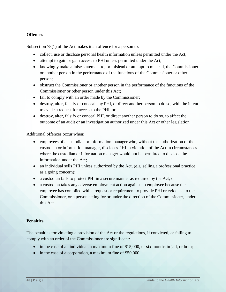#### **Offences**

Subsection 78(1) of the Act makes it an offence for a person to:

- collect, use or disclose personal health information unless permitted under the Act;
- attempt to gain or gain access to PHI unless permitted under the Act;
- knowingly make a false statement to, or mislead or attempt to mislead, the Commissioner or another person in the performance of the functions of the Commissioner or other person;
- obstruct the Commissioner or another person in the performance of the functions of the Commissioner or other person under this Act;
- fail to comply with an order made by the Commissioner;
- destroy, alter, falsify or conceal any PHI, or direct another person to do so, with the intent to evade a request for access to the PHI; or
- destroy, alter, falsify or conceal PHI, or direct another person to do so, to affect the outcome of an audit or an investigation authorized under this Act or other legislation.

Additional offences occur when:

- employees of a custodian or information manager who, without the authorization of the custodian or information manager, discloses PHI in violation of the Act in circumstances where the custodian or information manager would not be permitted to disclose the information under the Act;
- an individual sells PHI unless authorized by the Act, (e.g. selling a professional practice as a going concern);
- a custodian fails to protect PHI in a secure manner as required by the Act; or
- a custodian takes any adverse employment action against an employee because the employee has complied with a request or requirement to provide PHI or evidence to the Commissioner, or a person acting for or under the direction of the Commissioner, under this Act.

#### <span id="page-45-0"></span>**Penalties**

The penalties for violating a provision of the Act or the regulations, if convicted, or failing to comply with an order of the Commissioner are significant:

- in the case of an individual, a maximum fine of \$15,000, or six months in jail, or both;
- in the case of a corporation, a maximum fine of \$50,000.